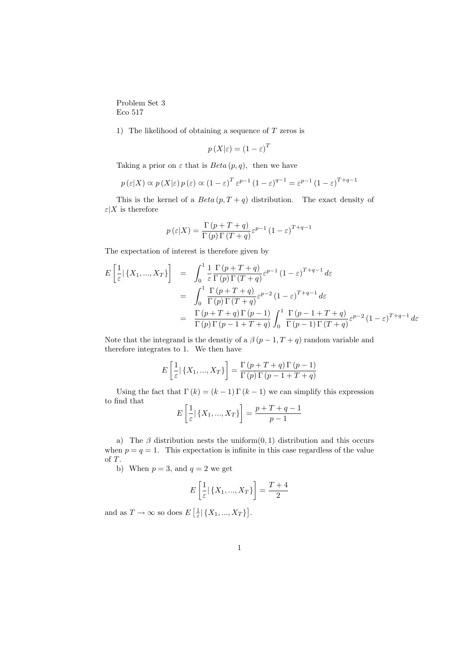Problem Set 3 Eco 517

1) The likelihood of obtaining a sequence of  $T$  zeros is

$$
p\left(X|\varepsilon\right) = \left(1 - \varepsilon\right)^T
$$

Taking a prior on  $\varepsilon$  that is  $Beta(p,q)$ , then we have

$$
p(\varepsilon|X) \propto p(X|\varepsilon) p(\varepsilon) \propto (1-\varepsilon)^T \varepsilon^{p-1} (1-\varepsilon)^{q-1} = \varepsilon^{p-1} (1-\varepsilon)^{T+q-1}
$$

This is the kernel of a  $Beta(p, T + q)$  distribution. The exact density of  $\varepsilon|X$  is therefore

$$
p(\varepsilon|X) = \frac{\Gamma(p+T+q)}{\Gamma(p)\Gamma(T+q)} \varepsilon^{p-1} (1-\varepsilon)^{T+q-1}
$$

The expectation of interest is therefore given by

$$
E\left[\frac{1}{\varepsilon}|\left\{X_1,\ldots,X_T\right\}\right] = \int_0^1 \frac{1}{\varepsilon} \frac{\Gamma(p+T+q)}{\Gamma(p)\Gamma(T+q)} \varepsilon^{p-1} (1-\varepsilon)^{T+q-1} d\varepsilon
$$
  
\n
$$
= \int_0^1 \frac{\Gamma(p+T+q)}{\Gamma(p)\Gamma(T+q)} \varepsilon^{p-2} (1-\varepsilon)^{T+q-1} d\varepsilon
$$
  
\n
$$
= \frac{\Gamma(p+T+q)\Gamma(p-1)}{\Gamma(p)\Gamma(p-1+T+q)} \int_0^1 \frac{\Gamma(p-1+T+q)}{\Gamma(p-1)\Gamma(T+q)} \varepsilon^{p-2} (1-\varepsilon)^{T+q-1} d\varepsilon
$$

Note that the integrand is the denstiy of a  $\beta(p-1, T+q)$  random variable and therefore integrates to 1. We then have

$$
E\left[\frac{1}{\varepsilon} | \{X_1, ..., X_T\}\right] = \frac{\Gamma(p+T+q)\Gamma(p-1)}{\Gamma(p)\Gamma(p-1+T+q)}
$$

Using the fact that  $\Gamma(k) = (k-1)\Gamma(k-1)$  we can simplify this expression to find that ·  $\overline{a}$ 

$$
E\left[\frac{1}{\varepsilon} | \{X_1, ..., X_T\}\right] = \frac{p+T+q-1}{p-1}
$$

a) The  $\beta$  distribution nests the uniform $(0, 1)$  distribution and this occurs when  $p = q = 1$ . This expectation is infinite in this case regardless of the value of T.

b) When  $p = 3$ , and  $q = 2$  we get

$$
E\left[\frac{1}{\varepsilon}|\left\{X_1, ..., X_T\right\}\right] = \frac{T+4}{2}
$$

and as  $T \to \infty$  so does E  $\left[\frac{1}{\varepsilon}\right]\left\{X_1,...,X_T\right\}$ l<br>E .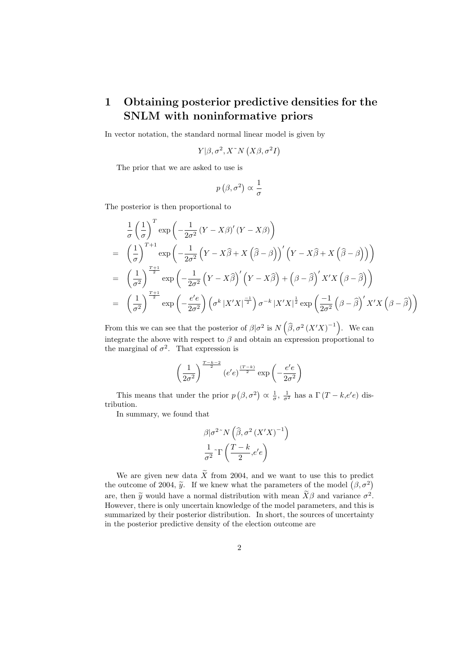## 1 Obtaining posterior predictive densities for the SNLM with noninformative priors

In vector notation, the standard normal linear model is given by

$$
Y|\beta, \sigma^2, X^*N\left(X\beta, \sigma^2I\right)
$$

The prior that we are asked to use is

$$
p\left(\beta,\sigma^2\right) \propto \frac{1}{\sigma}
$$

The posterior is then proportional to

$$
\frac{1}{\sigma} \left(\frac{1}{\sigma}\right)^{T} \exp\left(-\frac{1}{2\sigma^{2}}\left(Y - X\beta\right)'(Y - X\beta)\right)
$$
\n
$$
= \left(\frac{1}{\sigma}\right)^{T+1} \exp\left(-\frac{1}{2\sigma^{2}}\left(Y - X\widehat{\beta} + X\left(\widehat{\beta} - \beta\right)\right)' \left(Y - X\widehat{\beta} + X\left(\widehat{\beta} - \beta\right)\right)\right)
$$
\n
$$
= \left(\frac{1}{\sigma^{2}}\right)^{\frac{T+1}{2}} \exp\left(-\frac{1}{2\sigma^{2}}\left(Y - X\widehat{\beta}\right)' \left(Y - X\widehat{\beta}\right) + \left(\beta - \widehat{\beta}\right)' X'X\left(\beta - \widehat{\beta}\right)\right)
$$
\n
$$
= \left(\frac{1}{\sigma^{2}}\right)^{\frac{T+1}{2}} \exp\left(-\frac{e'e}{2\sigma^{2}}\right) \left(\sigma^{k} |X'X|^{\frac{-1}{2}}\right) \sigma^{-k} |X'X|^{\frac{1}{2}} \exp\left(\frac{-1}{2\sigma^{2}}\left(\beta - \widehat{\beta}\right)' X'X\left(\beta - \widehat{\beta}\right)\right)
$$

From this we can see that the posterior of  $\beta|\sigma^2$  is N  $\widehat{\beta}, \sigma^2 (X'X)^{-1}$ . We can integrate the above with respect to  $\beta$  and obtain an expression proportional to the marginal of  $\sigma^2$ . That expression is

$$
\left(\frac{1}{2\sigma^2}\right)^{\frac{T-k-2}{2}}\left(e'e\right)^{\frac{(T-k)}{2}}\exp\left(-\frac{e'e}{2\sigma^2}\right)
$$

This means that under the prior  $p$  $(\beta, \sigma^2)$  $\alpha \frac{1}{\sigma}$ ,  $\frac{1}{\sigma^2}$  has a  $\Gamma(T - k, e'e)$  distribution.

In summary, we found that

$$
\beta |\sigma^{2} \sim N\left(\widehat{\beta}, \sigma^{2} \left(X'X\right)^{-1}\right) \n\frac{1}{\sigma^{2}} \sim \Gamma\left(\frac{T-k}{2}, e'e\right)
$$

We are given new data  $\widetilde{X}$  from 2004, and we want to use this to predict We are given new data  $\lambda$  from 2004, and we want to use this to predict<br>the outcome of 2004,  $\tilde{y}$ . If we knew what the parameters of the model  $(\beta, \sigma^2)$ are, then  $\tilde{y}$  would have a normal distribution with mean  $\tilde{X}\beta$  and variance  $\sigma^2$ . However, there is only uncertain knowledge of the model parameters, and this is summarized by their posterior distribution. In short, the sources of uncertainty in the posterior predictive density of the election outcome are